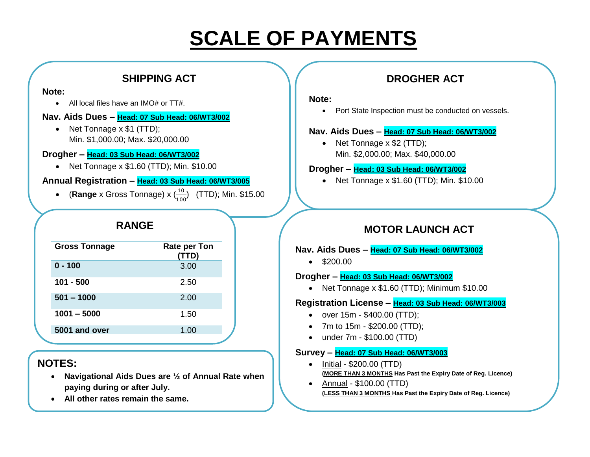# **SCALE OF PAYMENTS**

### **SHIPPING ACT**

#### **Note:**

• All local files have an IMO# or TT#.

#### **Nav. Aids Dues – Head: 07 Sub Head: 06/WT3/002**

• Net Tonnage x \$1 (TTD); Min. \$1,000.00; Max. \$20,000.00

#### **Drogher – Head: 03 Sub Head: 06/WT3/002**

 $\bullet$  Net Tonnage x \$1.60 (TTD); Min. \$10.00

#### **Annual Registration – Head: 03 Sub Head: 06/WT3/005**

• (**Range** x Gross Tonnage) x  $\left(\frac{10}{100}\right)$  $\frac{10}{100}$  (TTD); Min. \$15.00

### **RANGE**

| <b>Gross Tonnage</b> | <b>Rate per Ton</b><br>(TTD) |
|----------------------|------------------------------|
| $0 - 100$            | 3.00                         |
| $101 - 500$          | 2.50                         |
| $501 - 1000$         | 2.00                         |
| $1001 - 5000$        | 1.50                         |
| 5001 and over        | 1.00                         |

## **NOTES:**

- **Navigational Aids Dues are ½ of Annual Rate when paying during or after July.**
- **All other rates remain the same.**

## **DROGHER ACT**

#### **Note:**

• Port State Inspection must be conducted on vessels.

#### **Nav. Aids Dues – Head: 07 Sub Head: 06/WT3/002**

• Net Tonnage x \$2 (TTD); Min. \$2,000.00; Max. \$40,000.00

#### **Drogher – Head: 03 Sub Head: 06/WT3/002**

• Net Tonnage x \$1.60 (TTD); Min. \$10.00

## **MOTOR LAUNCH ACT**

#### **Nav. Aids Dues – Head: 07 Sub Head: 06/WT3/002**

 $\bullet$  \$200.00

#### **Drogher – Head: 03 Sub Head: 06/WT3/002**

• Net Tonnage x \$1.60 (TTD); Minimum \$10.00

#### **Registration License – Head: 03 Sub Head: 06/WT3/003**

- $\bullet$  over 15m \$400.00 (TTD);
- 7m to 15m \$200.00 (TTD);
- under 7m \$100.00 (TTD)

#### **Survey – Head: 07 Sub Head: 06/WT3/003**

- $\bullet$  Initial \$200.00 (TTD) **(MORE THAN 3 MONTHS Has Past the Expiry Date of Reg. Licence)**
- Annual \$100.00 (TTD) **(LESS THAN 3 MONTHS Has Past the Expiry Date of Reg. Licence)**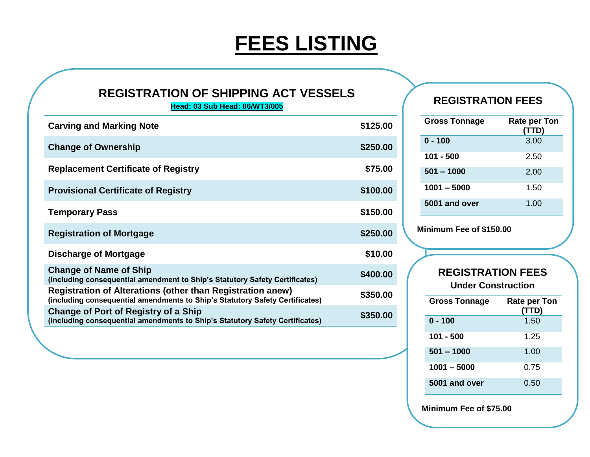# **FEES LISTING**

# **REGISTRATION OF SHIPPING ACT VESSELS**

**Head: 03 Sub Head: 06/WT3/005**

| <b>Carving and Marking Note</b>                                                                                                                   | \$125.00 |
|---------------------------------------------------------------------------------------------------------------------------------------------------|----------|
| <b>Change of Ownership</b>                                                                                                                        | \$250.00 |
| <b>Replacement Certificate of Registry</b>                                                                                                        | \$75.00  |
| <b>Provisional Certificate of Registry</b>                                                                                                        | \$100.00 |
| <b>Temporary Pass</b>                                                                                                                             | \$150.00 |
| <b>Registration of Mortgage</b>                                                                                                                   | \$250.00 |
| Discharge of Mortgage                                                                                                                             | \$10.00  |
| <b>Change of Name of Ship</b><br>(including consequential amendment to Ship's Statutory Safety Certificates)                                      | \$400.00 |
| <b>Registration of Alterations (other than Registration anew)</b><br>(including consequential amendments to Ship's Statutory Safety Certificates) | \$350.00 |
| Change of Port of Registry of a Ship<br>(including consequential amendments to Ship's Statutory Safety Certificates)                              | \$350.00 |

## **REGISTRATION FEES**

| <b>Gross Tonnage</b> | Rate per Ton<br>(TTD) |
|----------------------|-----------------------|
| $0 - 100$            | 3.00                  |
| $101 - 500$          | 2.50                  |
| $501 - 1000$         | 2.00                  |
| $1001 - 5000$        | 1.50                  |
| 5001 and over        | 1.00                  |

**Minimum Fee of \$150.00**

### **REGISTRATION FEES Under Construction**

| <b>Gross Tonnage</b> | <b>Rate per Ton</b><br>(TTD) |
|----------------------|------------------------------|
| $0 - 100$            | 1.50                         |
| 101 - 500            | 1.25                         |
| $501 - 1000$         | 1.00                         |
| 1001 – 5000          | 0.75                         |
| 5001 and over        | 0.50                         |

**Minimum Fee of \$75.00**